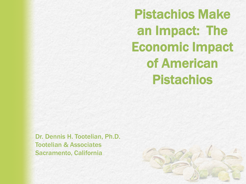Pistachios Make an Impact: The Economic Impact of American Pistachios

Dr. Dennis H. Tootelian, Ph.D. Tootelian & Associates Sacramento, California

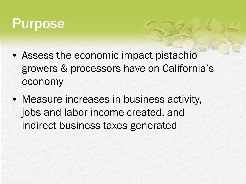#### Purpose

- Assess the economic impact pistachio growers & processors have on California's economy
- Measure increases in business activity, jobs and labor income created, and indirect business taxes generated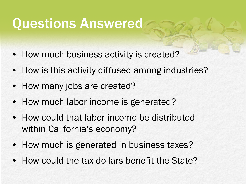#### Questions Answered

- How much business activity is created?
- How is this activity diffused among industries?
- How many jobs are created?
- How much labor income is generated?
- How could that labor income be distributed within California's economy?
- How much is generated in business taxes?
- How could the tax dollars benefit the State?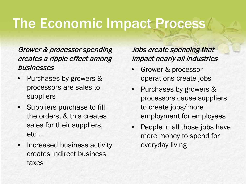# The Economic Impact Process

#### Grower & processor spending creates a ripple effect among businesses

- Purchases by growers & processors are sales to suppliers
- Suppliers purchase to fill the orders, & this creates sales for their suppliers, etc….
- Increased business activity creates indirect business taxes

#### Jobs create spending that impact nearly all industries

- Grower & processor operations create jobs
- Purchases by growers & processors cause suppliers to create jobs/more employment for employees
- People in all those jobs have more money to spend for everyday living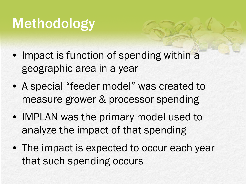# Methodology

- Impact is function of spending within a geographic area in a year
- A special "feeder model" was created to measure grower & processor spending
- IMPLAN was the primary model used to analyze the impact of that spending
- The impact is expected to occur each year that such spending occurs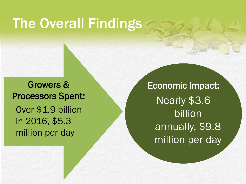#### The Overall Findings

Growers & Processors Spent: Over \$1.9 billion in 2016, \$5.3 million per day

Economic Impact: Nearly \$3.6 billion annually, \$9.8 million per day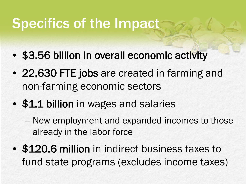# Specifics of the Impact

- \$3.56 billion in overall economic activity
- 22,630 FTE jobs are created in farming and non-farming economic sectors
- \$1.1 billion in wages and salaries
	- New employment and expanded incomes to those already in the labor force
- \$120.6 million in indirect business taxes to fund state programs (excludes income taxes)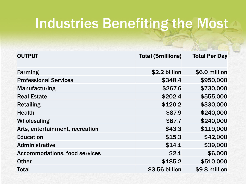### Industries Benefiting the Most

| <b>OUTPUT</b>                        | <b>Total (\$millions)</b> | <b>Total Per Day</b> |
|--------------------------------------|---------------------------|----------------------|
|                                      |                           |                      |
| <b>Farming</b>                       | \$2.2 billion             | \$6.0 million        |
| <b>Professional Services</b>         | \$348.4                   | \$950,000            |
| <b>Manufacturing</b>                 | \$267.6                   | \$730,000            |
| <b>Real Estate</b>                   | \$202.4                   | \$555,000            |
| <b>Retailing</b>                     | \$120.2                   | \$330,000            |
| <b>Health</b>                        | \$87.9                    | \$240,000            |
| Wholesaling                          | \$87.7                    | \$240,000            |
| Arts, entertainment, recreation      | \$43.3                    | \$119,000            |
| <b>Education</b>                     | \$15.3                    | \$42,000             |
| <b>Administrative</b>                | \$14.1                    | \$39,000             |
| <b>Accommodations, food services</b> | \$2.1                     | \$6,000              |
| <b>Other</b>                         | \$185.2                   | \$510,000            |
| <b>Total</b>                         | \$3.56 billion            | \$9.8 million        |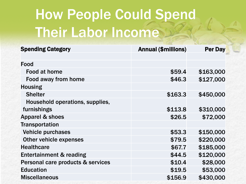# How People Could Spend Their Labor Income

| <b>Spending Category</b>           | <b>Annual (\$millions)</b> | <b>Per Day</b> |
|------------------------------------|----------------------------|----------------|
|                                    |                            |                |
| Food                               |                            |                |
| Food at home                       | \$59.4                     | \$163,000      |
| Food away from home                | \$46.3                     | \$127,000      |
| <b>Housing</b>                     |                            |                |
| <b>Shelter</b>                     | \$163.3                    | \$450,000      |
| Household operations, supplies,    |                            |                |
| furnishings                        | \$113.8                    | \$310,000      |
| <b>Apparel &amp; shoes</b>         | \$26.5                     | \$72,000       |
| <b>Transportation</b>              |                            |                |
| <b>Vehicle purchases</b>           | \$53.3                     | \$150,000      |
| <b>Other vehicle expenses</b>      | \$79.5                     | \$220,000      |
| <b>Healthcare</b>                  | \$67.7                     | \$185,000      |
| <b>Entertainment &amp; reading</b> | \$44.5                     | \$120,000      |
| Personal care products & services  | \$10.4                     | \$28,000       |
| <b>Education</b>                   | \$19.5                     | \$53,000       |
| <b>Miscellaneous</b>               | \$156.9                    | \$430,000      |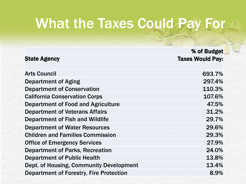# What the Taxes Could Pay For

|                                                | % of Budget             |
|------------------------------------------------|-------------------------|
| <b>State Agency</b>                            | <b>Taxes Would Pay:</b> |
|                                                |                         |
| <b>Arts Council</b>                            | 693.7%                  |
| <b>Department of Aging</b>                     | 297.4%                  |
| <b>Department of Conservation</b>              | 110.3%                  |
| <b>California Conservation Corps</b>           | 107.6%                  |
| Department of Food and Agriculture             | 47.5%                   |
| <b>Department of Veterans Affairs</b>          | 31.2%                   |
| <b>Department of Fish and Wildlife</b>         | 29.7%                   |
| <b>Department of Water Resources</b>           | 29.6%                   |
| <b>Children and Families Commission</b>        | 29.3%                   |
| <b>Office of Emergency Services</b>            | 27.9%                   |
| <b>Department of Parks, Recreation</b>         | 24.0%                   |
| <b>Department of Public Health</b>             | 13.8%                   |
| Dept. of Housing, Community Development        | 13.4%                   |
| <b>Department of Forestry, Fire Protection</b> | 8.9%                    |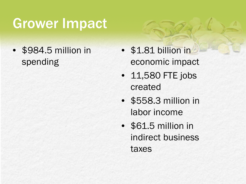# Grower Impact

• \$984.5 million in spending

- \$1.81 billion in economic impact
- 11,580 FTE jobs created
- \$558.3 million in labor income
- \$61.5 million in indirect business taxes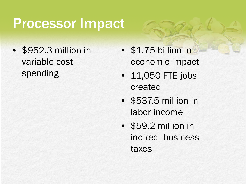#### Processor Impact

• \$952.3 million in variable cost spending

- \$1.75 billion in economic impact
- 11,050 FTE jobs created
- \$537.5 million in labor income
- \$59.2 million in indirect business taxes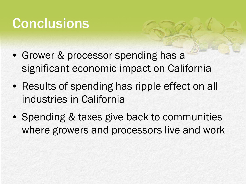## **Conclusions**

- Grower & processor spending has a significant economic impact on California
- Results of spending has ripple effect on all industries in California
- Spending & taxes give back to communities where growers and processors live and work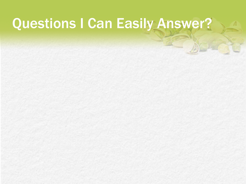# Questions I Can Easily Answer?